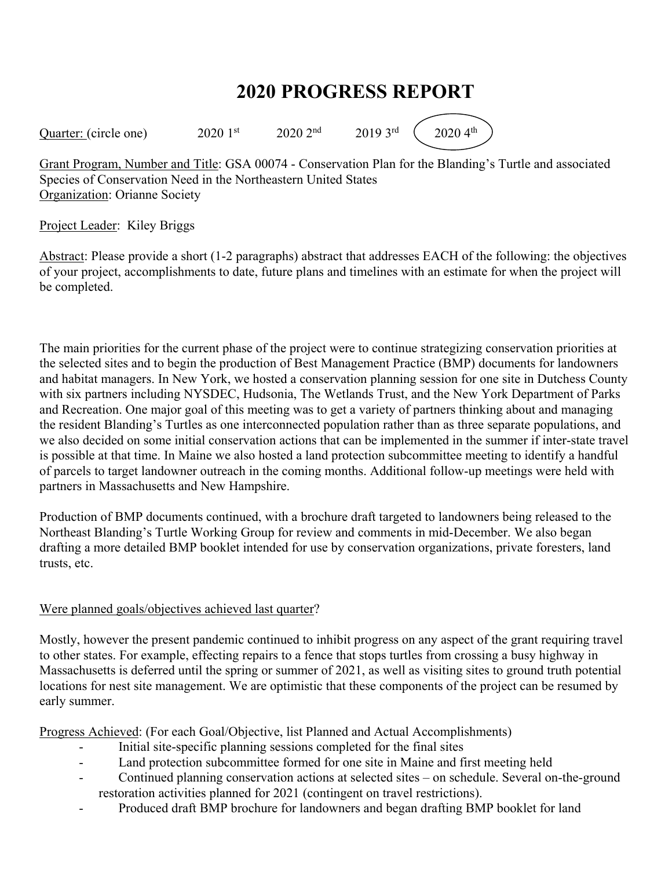# **2020 PROGRESS REPORT**

Quarter: (circle one)  $2020 \, 1^{st}$   $2020 \, 2^{nd}$   $2019 \, 3^{rd}$   $(2020 \, 4^{th})$ 

Grant Program, Number and Title: GSA 00074 - Conservation Plan for the Blanding's Turtle and associated Species of Conservation Need in the Northeastern United States Organization: Orianne Society

### Project Leader: Kiley Briggs

Abstract: Please provide a short (1-2 paragraphs) abstract that addresses EACH of the following: the objectives of your project, accomplishments to date, future plans and timelines with an estimate for when the project will be completed.

The main priorities for the current phase of the project were to continue strategizing conservation priorities at the selected sites and to begin the production of Best Management Practice (BMP) documents for landowners and habitat managers. In New York, we hosted a conservation planning session for one site in Dutchess County with six partners including NYSDEC, Hudsonia, The Wetlands Trust, and the New York Department of Parks and Recreation. One major goal of this meeting was to get a variety of partners thinking about and managing the resident Blanding's Turtles as one interconnected population rather than as three separate populations, and we also decided on some initial conservation actions that can be implemented in the summer if inter-state travel is possible at that time. In Maine we also hosted a land protection subcommittee meeting to identify a handful of parcels to target landowner outreach in the coming months. Additional follow-up meetings were held with partners in Massachusetts and New Hampshire.

Production of BMP documents continued, with a brochure draft targeted to landowners being released to the Northeast Blanding's Turtle Working Group for review and comments in mid-December. We also began drafting a more detailed BMP booklet intended for use by conservation organizations, private foresters, land trusts, etc.

## Were planned goals/objectives achieved last quarter?

Mostly, however the present pandemic continued to inhibit progress on any aspect of the grant requiring travel to other states. For example, effecting repairs to a fence that stops turtles from crossing a busy highway in Massachusetts is deferred until the spring or summer of 2021, as well as visiting sites to ground truth potential locations for nest site management. We are optimistic that these components of the project can be resumed by early summer.

Progress Achieved: (For each Goal/Objective, list Planned and Actual Accomplishments)

- Initial site-specific planning sessions completed for the final sites
- Land protection subcommittee formed for one site in Maine and first meeting held
- Continued planning conservation actions at selected sites on schedule. Several on-the-ground restoration activities planned for 2021 (contingent on travel restrictions).
- Produced draft BMP brochure for landowners and began drafting BMP booklet for land